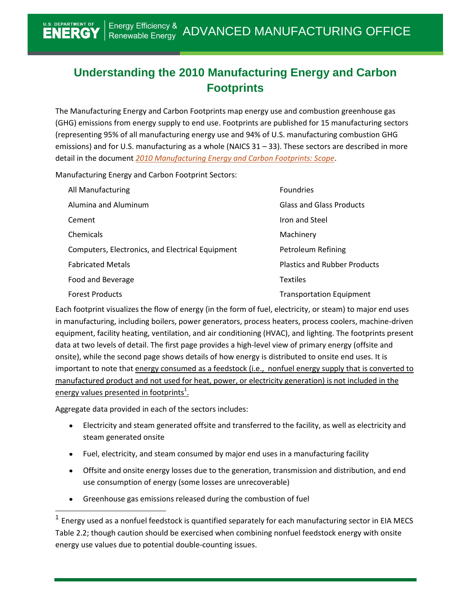# **Understanding the 2010 Manufacturing Energy and Carbon Footprints**

The Manufacturing Energy and Carbon Footprints map energy use and combustion greenhouse gas (GHG) emissions from energy supply to end use. Footprints are published for 15 manufacturing sectors (representing 95% of all manufacturing energy use and 94% of U.S. manufacturing combustion GHG emissions) and for U.S. manufacturing as a whole (NAICS 31 – 33). These sectors are described in more detail in the document *[2010 Manufacturing Energy and Carbon Footprints: Scope](http://energy.gov/eere/amo/downloads/2010-manufacturing-energy-and-carbon-footprints-scope)*.

Manufacturing Energy and Carbon Footprint Sectors:

| All Manufacturing                                | <b>Foundries</b>                    |
|--------------------------------------------------|-------------------------------------|
| Alumina and Aluminum                             | <b>Glass and Glass Products</b>     |
| Cement                                           | Iron and Steel                      |
| Chemicals                                        | Machinery                           |
| Computers, Electronics, and Electrical Equipment | Petroleum Refining                  |
| <b>Fabricated Metals</b>                         | <b>Plastics and Rubber Products</b> |
| Food and Beverage                                | <b>Textiles</b>                     |
| <b>Forest Products</b>                           | <b>Transportation Equipment</b>     |

Each footprint visualizes the flow of energy (in the form of fuel, electricity, or steam) to major end uses in manufacturing, including boilers, power generators, process heaters, process coolers, machine-driven equipment, facility heating, ventilation, and air conditioning (HVAC), and lighting. The footprints present data at two levels of detail. The first page provides a high-level view of primary energy (offsite and onsite), while the second page shows details of how energy is distributed to onsite end uses. It is important to note that energy consumed as a feedstock (i.e., nonfuel energy supply that is converted to manufactured product and not used for heat, power, or electricity generation) is not included in the energy values presented in footprints<sup>1</sup>.

Aggregate data provided in each of the sectors includes:

 $\overline{a}$ 

- Electricity and steam generated offsite and transferred to the facility, as well as electricity and steam generated onsite
- Fuel, electricity, and steam consumed by major end uses in a manufacturing facility
- Offsite and onsite energy losses due to the generation, transmission and distribution, and end use consumption of energy (some losses are unrecoverable)
- Greenhouse gas emissions released during the combustion of fuel  $\bullet$

 $<sup>1</sup>$  Energy used as a nonfuel feedstock is quantified separately for each manufacturing sector in EIA MECS</sup> Table 2.2; though caution should be exercised when combining nonfuel feedstock energy with onsite energy use values due to potential double-counting issues.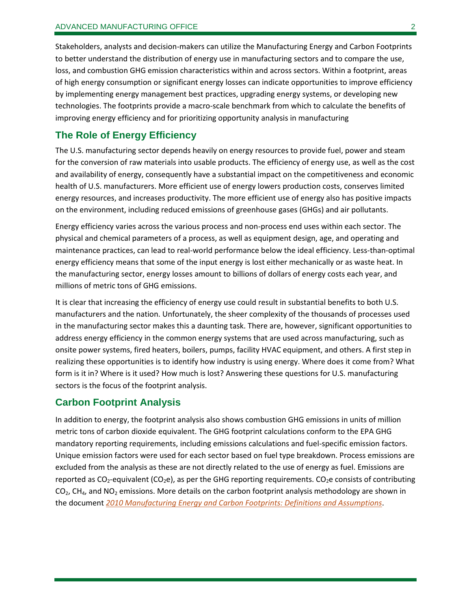Stakeholders, analysts and decision-makers can utilize the Manufacturing Energy and Carbon Footprints to better understand the distribution of energy use in manufacturing sectors and to compare the use, loss, and combustion GHG emission characteristics within and across sectors. Within a footprint, areas of high energy consumption or significant energy losses can indicate opportunities to improve efficiency by implementing energy management best practices, upgrading energy systems, or developing new technologies. The footprints provide a macro-scale benchmark from which to calculate the benefits of improving energy efficiency and for prioritizing opportunity analysis in manufacturing

# **The Role of Energy Efficiency**

The U.S. manufacturing sector depends heavily on energy resources to provide fuel, power and steam for the conversion of raw materials into usable products. The efficiency of energy use, as well as the cost and availability of energy, consequently have a substantial impact on the competitiveness and economic health of U.S. manufacturers. More efficient use of energy lowers production costs, conserves limited energy resources, and increases productivity. The more efficient use of energy also has positive impacts on the environment, including reduced emissions of greenhouse gases (GHGs) and air pollutants.

Energy efficiency varies across the various process and non-process end uses within each sector. The physical and chemical parameters of a process, as well as equipment design, age, and operating and maintenance practices, can lead to real-world performance below the ideal efficiency. Less-than-optimal energy efficiency means that some of the input energy is lost either mechanically or as waste heat. In the manufacturing sector, energy losses amount to billions of dollars of energy costs each year, and millions of metric tons of GHG emissions.

It is clear that increasing the efficiency of energy use could result in substantial benefits to both U.S. manufacturers and the nation. Unfortunately, the sheer complexity of the thousands of processes used in the manufacturing sector makes this a daunting task. There are, however, significant opportunities to address energy efficiency in the common energy systems that are used across manufacturing, such as onsite power systems, fired heaters, boilers, pumps, facility HVAC equipment, and others. A first step in realizing these opportunities is to identify how industry is using energy. Where does it come from? What form is it in? Where is it used? How much is lost? Answering these questions for U.S. manufacturing sectors is the focus of the footprint analysis.

## **Carbon Footprint Analysis**

In addition to energy, the footprint analysis also shows combustion GHG emissions in units of million metric tons of carbon dioxide equivalent. The GHG footprint calculations conform to the EPA GHG mandatory reporting requirements, including emissions calculations and fuel-specific emission factors. Unique emission factors were used for each sector based on fuel type breakdown. Process emissions are excluded from the analysis as these are not directly related to the use of energy as fuel. Emissions are reported as  $CO_2$ -equivalent (CO<sub>2</sub>e), as per the GHG reporting requirements. CO<sub>2</sub>e consists of contributing  $CO<sub>2</sub>$ , CH<sub>4</sub>, and NO<sub>2</sub> emissions. More details on the carbon footprint analysis methodology are shown in the document *[2010 Manufacturing Energy and Carbon Footprints: Definitions and Assumptions](http://energy.gov/eere/amo/downloads/2010-manufacturing-energy-and-carbon-footprints-definitions-and-assumptions)*.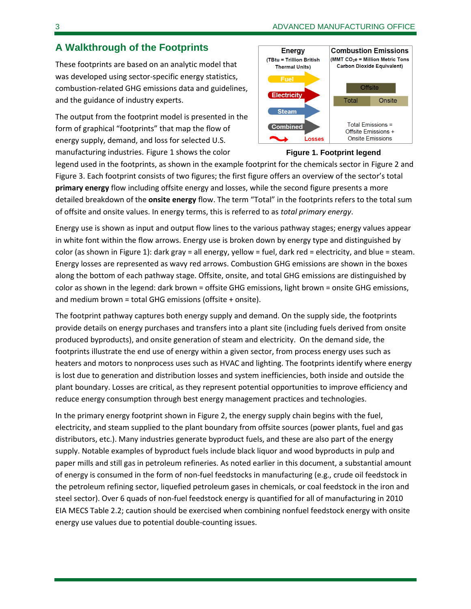# **A Walkthrough of the Footprints**

These footprints are based on an analytic model that was developed using sector-specific energy statistics, combustion-related GHG emissions data and guidelines, and the guidance of industry experts.

The output from the footprint model is presented in the form of graphical "footprints" that map the flow of energy supply, demand, and loss for selected U.S. manufacturing industries. Figure 1 shows the color



### **Figure 1. Footprint legend**

legend used in the footprints, as shown in the example footprint for the chemicals sector in Figure 2 and [Figure 3.](#page-4-0) Each footprint consists of two figures; the first figure offers an overview of the sector's total **primary energy** flow including offsite energy and losses, while the second figure presents a more detailed breakdown of the **onsite energy** flow. The term "Total" in the footprints refers to the total sum of offsite and onsite values. In energy terms, this is referred to as *total primary energy*.

Energy use is shown as input and output flow lines to the various pathway stages; energy values appear in white font within the flow arrows. Energy use is broken down by energy type and distinguished by color (as shown in Figure 1): dark gray = all energy, yellow = fuel, dark red = electricity, and blue = steam. Energy losses are represented as wavy red arrows. Combustion GHG emissions are shown in the boxes along the bottom of each pathway stage. Offsite, onsite, and total GHG emissions are distinguished by color as shown in the legend: dark brown = offsite GHG emissions, light brown = onsite GHG emissions, and medium brown = total GHG emissions (offsite + onsite).

The footprint pathway captures both energy supply and demand. On the supply side, the footprints provide details on energy purchases and transfers into a plant site (including fuels derived from onsite produced byproducts), and onsite generation of steam and electricity. On the demand side, the footprints illustrate the end use of energy within a given sector, from process energy uses such as heaters and motors to nonprocess uses such as HVAC and lighting. The footprints identify where energy is lost due to generation and distribution losses and system inefficiencies, both inside and outside the plant boundary. Losses are critical, as they represent potential opportunities to improve efficiency and reduce energy consumption through best energy management practices and technologies.

In the primary energy footprint shown i[n Figure 2,](#page-3-0) the energy supply chain begins with the fuel, electricity, and steam supplied to the plant boundary from offsite sources (power plants, fuel and gas distributors, etc.). Many industries generate byproduct fuels, and these are also part of the energy supply. Notable examples of byproduct fuels include black liquor and wood byproducts in pulp and paper mills and still gas in petroleum refineries. As noted earlier in this document, a substantial amount of energy is consumed in the form of non-fuel feedstocks in manufacturing (e.g., crude oil feedstock in the petroleum refining sector, liquefied petroleum gases in chemicals, or coal feedstock in the iron and steel sector). Over 6 quads of non-fuel feedstock energy is quantified for all of manufacturing in 2010 EIA MECS Table 2.2; caution should be exercised when combining nonfuel feedstock energy with onsite energy use values due to potential double-counting issues.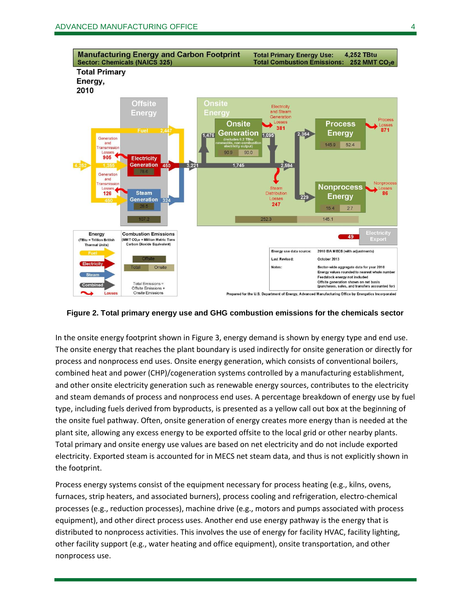

#### <span id="page-3-0"></span>**Figure 2. Total primary energy use and GHG combustion emissions for the chemicals sector**

In the onsite energy footprint shown in [Figure 3,](#page-4-0) energy demand is shown by energy type and end use. The onsite energy that reaches the plant boundary is used indirectly for onsite generation or directly for process and nonprocess end uses. Onsite energy generation, which consists of conventional boilers, combined heat and power (CHP)/cogeneration systems controlled by a manufacturing establishment, and other onsite electricity generation such as renewable energy sources, contributes to the electricity and steam demands of process and nonprocess end uses. A percentage breakdown of energy use by fuel type, including fuels derived from byproducts, is presented as a yellow call out box at the beginning of the onsite fuel pathway. Often, onsite generation of energy creates more energy than is needed at the plant site, allowing any excess energy to be exported offsite to the local grid or other nearby plants. Total primary and onsite energy use values are based on net electricity and do not include exported electricity. Exported steam is accounted for in MECS net steam data, and thus is not explicitly shown in the footprint.

Process energy systems consist of the equipment necessary for process heating (e.g., kilns, ovens, furnaces, strip heaters, and associated burners), process cooling and refrigeration, electro-chemical processes (e.g., reduction processes), machine drive (e.g., motors and pumps associated with process equipment), and other direct process uses. Another end use energy pathway is the energy that is distributed to nonprocess activities. This involves the use of energy for facility HVAC, facility lighting, other facility support (e.g., water heating and office equipment), onsite transportation, and other nonprocess use.